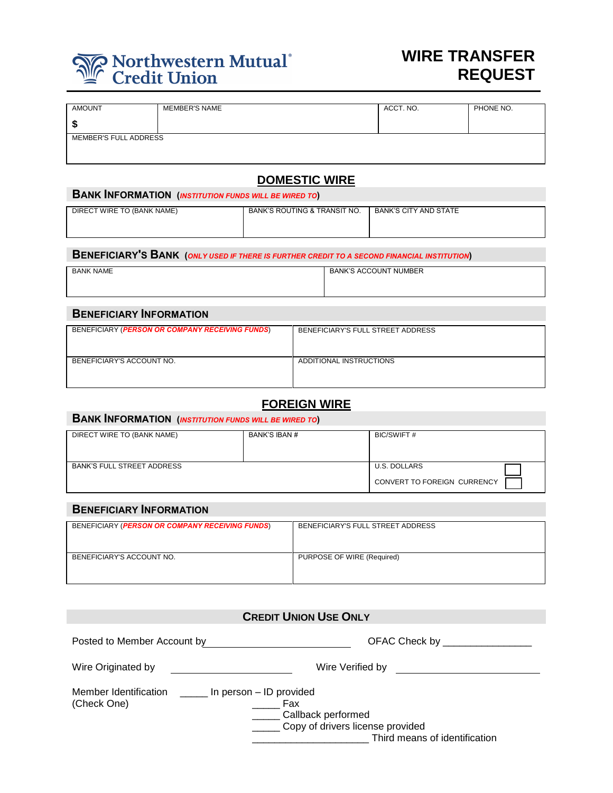# Northwestern Mutual®

# **WIRE TRANSFER REQUEST**

| <b>AMOUNT</b>         | <b>MEMBER'S NAME</b> | ACCT. NO. | PHONE NO. |
|-----------------------|----------------------|-----------|-----------|
| S.                    |                      |           |           |
| MEMBER'S FULL ADDRESS |                      |           |           |
|                       |                      |           |           |
|                       |                      |           |           |

# **DOMESTIC WIRE**

| BANK'S ROUTING & TRANSIT NO.<br><b>BANK'S CITY AND STATE</b> |
|--------------------------------------------------------------|
|                                                              |
|                                                              |

**BENEFICIARY'S BANK (***ONLY USED IF THERE IS FURTHER CREDIT TO A SECOND FINANCIAL INSTITUTION***)**

| <b>BANK NAME</b> | <b>BANK'S ACCOUNT NUMBER</b> |
|------------------|------------------------------|
|                  |                              |
|                  |                              |
|                  |                              |

| <b>BENEFICIARY INFORMATION</b>                  |                                   |  |
|-------------------------------------------------|-----------------------------------|--|
| BENEFICIARY (PERSON OR COMPANY RECEIVING FUNDS) | BENEFICIARY'S FULL STREET ADDRESS |  |
| BENEFICIARY'S ACCOUNT NO.                       | ADDITIONAL INSTRUCTIONS           |  |

# **FOREIGN WIRE**

#### **BANK INFORMATION (***INSTITUTION FUNDS WILL BE WIRED TO***)**

| DIRECT WIRE TO (BANK NAME)        | BANK'S IBAN # | BIC/SWIFT #                                 |
|-----------------------------------|---------------|---------------------------------------------|
| <b>BANK'S FULL STREET ADDRESS</b> |               | U.S. DOLLARS<br>CONVERT TO FOREIGN CURRENCY |

### **BENEFICIARY INFORMATION**

| BENEFICIARY (PERSON OR COMPANY RECEIVING FUNDS) | BENEFICIARY'S FULL STREET ADDRESS |
|-------------------------------------------------|-----------------------------------|
| BENEFICIARY'S ACCOUNT NO.                       | PURPOSE OF WIRE (Required)        |

| <b>CREDIT UNION USE ONLY</b>                                                                                                                                               |                                |  |  |
|----------------------------------------------------------------------------------------------------------------------------------------------------------------------------|--------------------------------|--|--|
| Posted to Member Account by                                                                                                                                                | OFAC Check by ________________ |  |  |
| Wire Originated by                                                                                                                                                         | Wire Verified by               |  |  |
| Member Identification<br>In person – ID provided<br>(Check One)<br>Fax<br>___ Callback performed<br>____ Copy of drivers license provided<br>Third means of identification |                                |  |  |